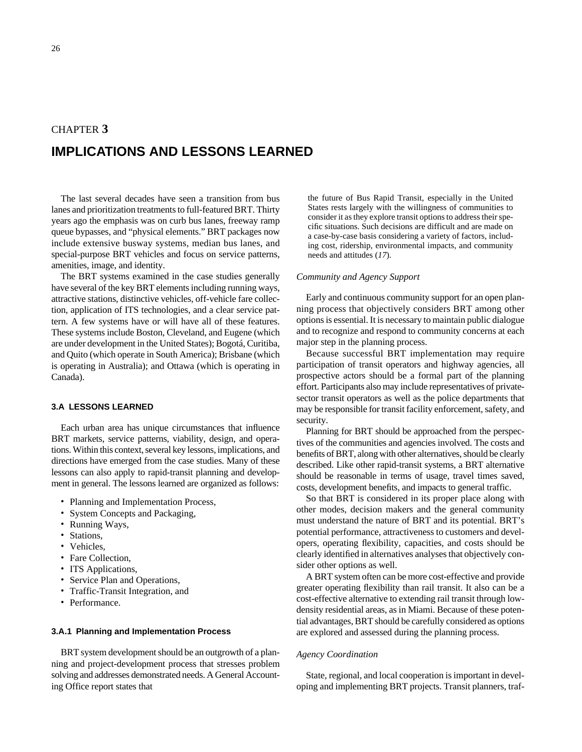# CHAPTER **3 IMPLICATIONS AND LESSONS LEARNED**

The last several decades have seen a transition from bus lanes and prioritization treatments to full-featured BRT. Thirty years ago the emphasis was on curb bus lanes, freeway ramp queue bypasses, and "physical elements." BRT packages now include extensive busway systems, median bus lanes, and special-purpose BRT vehicles and focus on service patterns, amenities, image, and identity.

The BRT systems examined in the case studies generally have several of the key BRT elements including running ways, attractive stations, distinctive vehicles, off-vehicle fare collection, application of ITS technologies, and a clear service pattern. A few systems have or will have all of these features. These systems include Boston, Cleveland, and Eugene (which are under development in the United States); Bogotá, Curitiba, and Quito (which operate in South America); Brisbane (which is operating in Australia); and Ottawa (which is operating in Canada).

# **3.A LESSONS LEARNED**

Each urban area has unique circumstances that influence BRT markets, service patterns, viability, design, and operations. Within this context, several key lessons, implications, and directions have emerged from the case studies. Many of these lessons can also apply to rapid-transit planning and development in general. The lessons learned are organized as follows:

- Planning and Implementation Process,
- System Concepts and Packaging,
- Running Ways,
- Stations,
- Vehicles,
- Fare Collection,
- ITS Applications,
- Service Plan and Operations,
- Traffic-Transit Integration, and
- Performance.

#### **3.A.1 Planning and Implementation Process**

BRT system development should be an outgrowth of a planning and project-development process that stresses problem solving and addresses demonstrated needs. A General Accounting Office report states that

the future of Bus Rapid Transit, especially in the United States rests largely with the willingness of communities to consider it as they explore transit options to address their specific situations. Such decisions are difficult and are made on a case-by-case basis considering a variety of factors, including cost, ridership, environmental impacts, and community needs and attitudes (*17*).

## *Community and Agency Support*

Early and continuous community support for an open planning process that objectively considers BRT among other options is essential. It is necessary to maintain public dialogue and to recognize and respond to community concerns at each major step in the planning process.

Because successful BRT implementation may require participation of transit operators and highway agencies, all prospective actors should be a formal part of the planning effort. Participants also may include representatives of privatesector transit operators as well as the police departments that may be responsible for transit facility enforcement, safety, and security.

Planning for BRT should be approached from the perspectives of the communities and agencies involved. The costs and benefits of BRT, along with other alternatives, should be clearly described. Like other rapid-transit systems, a BRT alternative should be reasonable in terms of usage, travel times saved, costs, development benefits, and impacts to general traffic.

So that BRT is considered in its proper place along with other modes, decision makers and the general community must understand the nature of BRT and its potential. BRT's potential performance, attractiveness to customers and developers, operating flexibility, capacities, and costs should be clearly identified in alternatives analyses that objectively consider other options as well.

A BRT system often can be more cost-effective and provide greater operating flexibility than rail transit. It also can be a cost-effective alternative to extending rail transit through lowdensity residential areas, as in Miami. Because of these potential advantages, BRT should be carefully considered as options are explored and assessed during the planning process.

# *Agency Coordination*

State, regional, and local cooperation is important in developing and implementing BRT projects. Transit planners, traf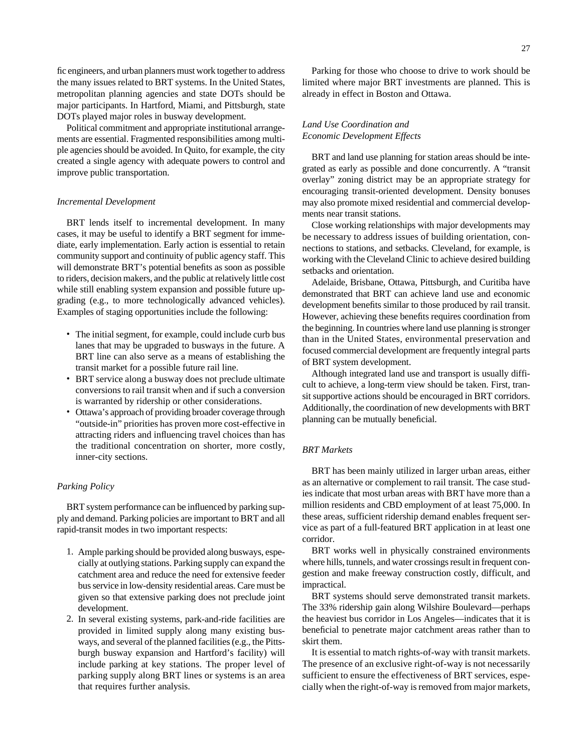fic engineers, and urban planners must work together to address the many issues related to BRT systems. In the United States, metropolitan planning agencies and state DOTs should be major participants. In Hartford, Miami, and Pittsburgh, state DOTs played major roles in busway development.

Political commitment and appropriate institutional arrangements are essential. Fragmented responsibilities among multiple agencies should be avoided. In Quito, for example, the city created a single agency with adequate powers to control and improve public transportation.

# *Incremental Development*

BRT lends itself to incremental development. In many cases, it may be useful to identify a BRT segment for immediate, early implementation. Early action is essential to retain community support and continuity of public agency staff. This will demonstrate BRT's potential benefits as soon as possible to riders, decision makers, and the public at relatively little cost while still enabling system expansion and possible future upgrading (e.g., to more technologically advanced vehicles). Examples of staging opportunities include the following:

- The initial segment, for example, could include curb bus lanes that may be upgraded to busways in the future. A BRT line can also serve as a means of establishing the transit market for a possible future rail line.
- BRT service along a busway does not preclude ultimate conversions to rail transit when and if such a conversion is warranted by ridership or other considerations.
- Ottawa's approach of providing broader coverage through "outside-in" priorities has proven more cost-effective in attracting riders and influencing travel choices than has the traditional concentration on shorter, more costly, inner-city sections.

# *Parking Policy*

BRT system performance can be influenced by parking supply and demand. Parking policies are important to BRT and all rapid-transit modes in two important respects:

- 1. Ample parking should be provided along busways, especially at outlying stations. Parking supply can expand the catchment area and reduce the need for extensive feeder bus service in low-density residential areas. Care must be given so that extensive parking does not preclude joint development.
- 2. In several existing systems, park-and-ride facilities are provided in limited supply along many existing busways, and several of the planned facilities (e.g., the Pittsburgh busway expansion and Hartford's facility) will include parking at key stations. The proper level of parking supply along BRT lines or systems is an area that requires further analysis.

Parking for those who choose to drive to work should be limited where major BRT investments are planned. This is already in effect in Boston and Ottawa.

# *Land Use Coordination and Economic Development Effects*

BRT and land use planning for station areas should be integrated as early as possible and done concurrently. A "transit overlay" zoning district may be an appropriate strategy for encouraging transit-oriented development. Density bonuses may also promote mixed residential and commercial developments near transit stations.

Close working relationships with major developments may be necessary to address issues of building orientation, connections to stations, and setbacks. Cleveland, for example, is working with the Cleveland Clinic to achieve desired building setbacks and orientation.

Adelaide, Brisbane, Ottawa, Pittsburgh, and Curitiba have demonstrated that BRT can achieve land use and economic development benefits similar to those produced by rail transit. However, achieving these benefits requires coordination from the beginning. In countries where land use planning is stronger than in the United States, environmental preservation and focused commercial development are frequently integral parts of BRT system development.

Although integrated land use and transport is usually difficult to achieve, a long-term view should be taken. First, transit supportive actions should be encouraged in BRT corridors. Additionally, the coordination of new developments with BRT planning can be mutually beneficial.

# *BRT Markets*

BRT has been mainly utilized in larger urban areas, either as an alternative or complement to rail transit. The case studies indicate that most urban areas with BRT have more than a million residents and CBD employment of at least 75,000. In these areas, sufficient ridership demand enables frequent service as part of a full-featured BRT application in at least one corridor.

BRT works well in physically constrained environments where hills, tunnels, and water crossings result in frequent congestion and make freeway construction costly, difficult, and impractical.

BRT systems should serve demonstrated transit markets. The 33% ridership gain along Wilshire Boulevard—perhaps the heaviest bus corridor in Los Angeles—indicates that it is beneficial to penetrate major catchment areas rather than to skirt them.

It is essential to match rights-of-way with transit markets. The presence of an exclusive right-of-way is not necessarily sufficient to ensure the effectiveness of BRT services, especially when the right-of-way is removed from major markets,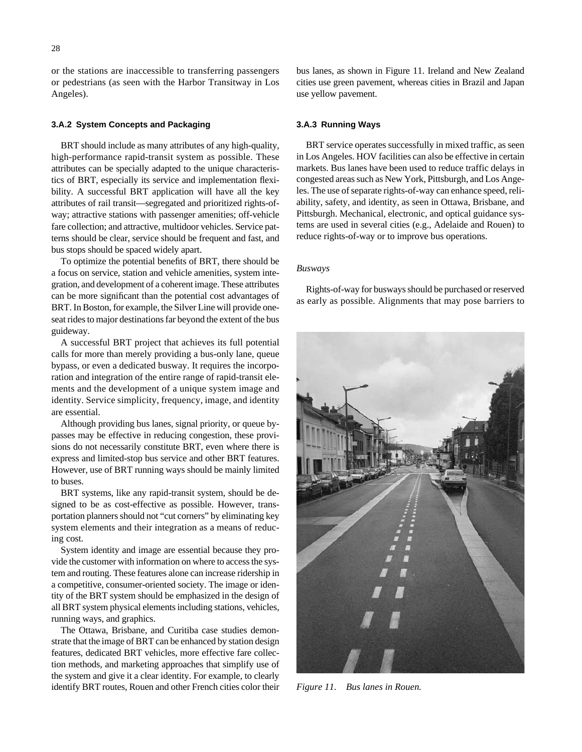or the stations are inaccessible to transferring passengers or pedestrians (as seen with the Harbor Transitway in Los Angeles).

# **3.A.2 System Concepts and Packaging**

BRT should include as many attributes of any high-quality, high-performance rapid-transit system as possible. These attributes can be specially adapted to the unique characteristics of BRT, especially its service and implementation flexibility. A successful BRT application will have all the key attributes of rail transit—segregated and prioritized rights-ofway; attractive stations with passenger amenities; off-vehicle fare collection; and attractive, multidoor vehicles. Service patterns should be clear, service should be frequent and fast, and bus stops should be spaced widely apart.

To optimize the potential benefits of BRT, there should be a focus on service, station and vehicle amenities, system integration, and development of a coherent image. These attributes can be more significant than the potential cost advantages of BRT. In Boston, for example, the Silver Line will provide oneseat rides to major destinations far beyond the extent of the bus guideway.

A successful BRT project that achieves its full potential calls for more than merely providing a bus-only lane, queue bypass, or even a dedicated busway. It requires the incorporation and integration of the entire range of rapid-transit elements and the development of a unique system image and identity. Service simplicity, frequency, image, and identity are essential.

Although providing bus lanes, signal priority, or queue bypasses may be effective in reducing congestion, these provisions do not necessarily constitute BRT, even where there is express and limited-stop bus service and other BRT features. However, use of BRT running ways should be mainly limited to buses.

BRT systems, like any rapid-transit system, should be designed to be as cost-effective as possible. However, transportation planners should not "cut corners" by eliminating key system elements and their integration as a means of reducing cost.

System identity and image are essential because they provide the customer with information on where to access the system and routing. These features alone can increase ridership in a competitive, consumer-oriented society. The image or identity of the BRT system should be emphasized in the design of all BRT system physical elements including stations, vehicles, running ways, and graphics.

The Ottawa, Brisbane, and Curitiba case studies demonstrate that the image of BRT can be enhanced by station design features, dedicated BRT vehicles, more effective fare collection methods, and marketing approaches that simplify use of the system and give it a clear identity. For example, to clearly identify BRT routes, Rouen and other French cities color their

bus lanes, as shown in Figure 11. Ireland and New Zealand cities use green pavement, whereas cities in Brazil and Japan use yellow pavement.

# **3.A.3 Running Ways**

BRT service operates successfully in mixed traffic, as seen in Los Angeles. HOV facilities can also be effective in certain markets. Bus lanes have been used to reduce traffic delays in congested areas such as New York, Pittsburgh, and Los Angeles. The use of separate rights-of-way can enhance speed, reliability, safety, and identity, as seen in Ottawa, Brisbane, and Pittsburgh. Mechanical, electronic, and optical guidance systems are used in several cities (e.g., Adelaide and Rouen) to reduce rights-of-way or to improve bus operations.

#### *Busways*

Rights-of-way for busways should be purchased or reserved as early as possible. Alignments that may pose barriers to



*Figure 11. Bus lanes in Rouen.*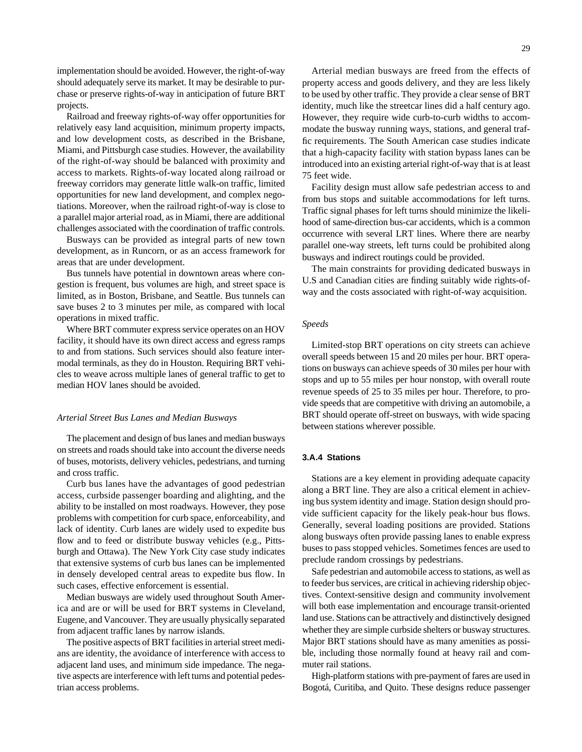implementation should be avoided. However, the right-of-way should adequately serve its market. It may be desirable to purchase or preserve rights-of-way in anticipation of future BRT projects.

Railroad and freeway rights-of-way offer opportunities for relatively easy land acquisition, minimum property impacts, and low development costs, as described in the Brisbane, Miami, and Pittsburgh case studies. However, the availability of the right-of-way should be balanced with proximity and access to markets. Rights-of-way located along railroad or freeway corridors may generate little walk-on traffic, limited opportunities for new land development, and complex negotiations. Moreover, when the railroad right-of-way is close to a parallel major arterial road, as in Miami, there are additional challenges associated with the coordination of traffic controls.

Busways can be provided as integral parts of new town development, as in Runcorn, or as an access framework for areas that are under development.

Bus tunnels have potential in downtown areas where congestion is frequent, bus volumes are high, and street space is limited, as in Boston, Brisbane, and Seattle. Bus tunnels can save buses 2 to 3 minutes per mile, as compared with local operations in mixed traffic.

Where BRT commuter express service operates on an HOV facility, it should have its own direct access and egress ramps to and from stations. Such services should also feature intermodal terminals, as they do in Houston. Requiring BRT vehicles to weave across multiple lanes of general traffic to get to median HOV lanes should be avoided.

#### *Arterial Street Bus Lanes and Median Busways*

The placement and design of bus lanes and median busways on streets and roads should take into account the diverse needs of buses, motorists, delivery vehicles, pedestrians, and turning and cross traffic.

Curb bus lanes have the advantages of good pedestrian access, curbside passenger boarding and alighting, and the ability to be installed on most roadways. However, they pose problems with competition for curb space, enforceability, and lack of identity. Curb lanes are widely used to expedite bus flow and to feed or distribute busway vehicles (e.g., Pittsburgh and Ottawa). The New York City case study indicates that extensive systems of curb bus lanes can be implemented in densely developed central areas to expedite bus flow. In such cases, effective enforcement is essential.

Median busways are widely used throughout South America and are or will be used for BRT systems in Cleveland, Eugene, and Vancouver. They are usually physically separated from adjacent traffic lanes by narrow islands.

The positive aspects of BRT facilities in arterial street medians are identity, the avoidance of interference with access to adjacent land uses, and minimum side impedance. The negative aspects are interference with left turns and potential pedestrian access problems.

Arterial median busways are freed from the effects of property access and goods delivery, and they are less likely to be used by other traffic. They provide a clear sense of BRT identity, much like the streetcar lines did a half century ago. However, they require wide curb-to-curb widths to accommodate the busway running ways, stations, and general traffic requirements. The South American case studies indicate that a high-capacity facility with station bypass lanes can be introduced into an existing arterial right-of-way that is at least 75 feet wide.

Facility design must allow safe pedestrian access to and from bus stops and suitable accommodations for left turns. Traffic signal phases for left turns should minimize the likelihood of same-direction bus-car accidents, which is a common occurrence with several LRT lines. Where there are nearby parallel one-way streets, left turns could be prohibited along busways and indirect routings could be provided.

The main constraints for providing dedicated busways in U.S and Canadian cities are finding suitably wide rights-ofway and the costs associated with right-of-way acquisition.

# *Speeds*

Limited-stop BRT operations on city streets can achieve overall speeds between 15 and 20 miles per hour. BRT operations on busways can achieve speeds of 30 miles per hour with stops and up to 55 miles per hour nonstop, with overall route revenue speeds of 25 to 35 miles per hour. Therefore, to provide speeds that are competitive with driving an automobile, a BRT should operate off-street on busways, with wide spacing between stations wherever possible.

# **3.A.4 Stations**

Stations are a key element in providing adequate capacity along a BRT line. They are also a critical element in achieving bus system identity and image. Station design should provide sufficient capacity for the likely peak-hour bus flows. Generally, several loading positions are provided. Stations along busways often provide passing lanes to enable express buses to pass stopped vehicles. Sometimes fences are used to preclude random crossings by pedestrians.

Safe pedestrian and automobile access to stations, as well as to feeder bus services, are critical in achieving ridership objectives. Context-sensitive design and community involvement will both ease implementation and encourage transit-oriented land use. Stations can be attractively and distinctively designed whether they are simple curbside shelters or busway structures. Major BRT stations should have as many amenities as possible, including those normally found at heavy rail and commuter rail stations.

High-platform stations with pre-payment of fares are used in Bogotá, Curitiba, and Quito. These designs reduce passenger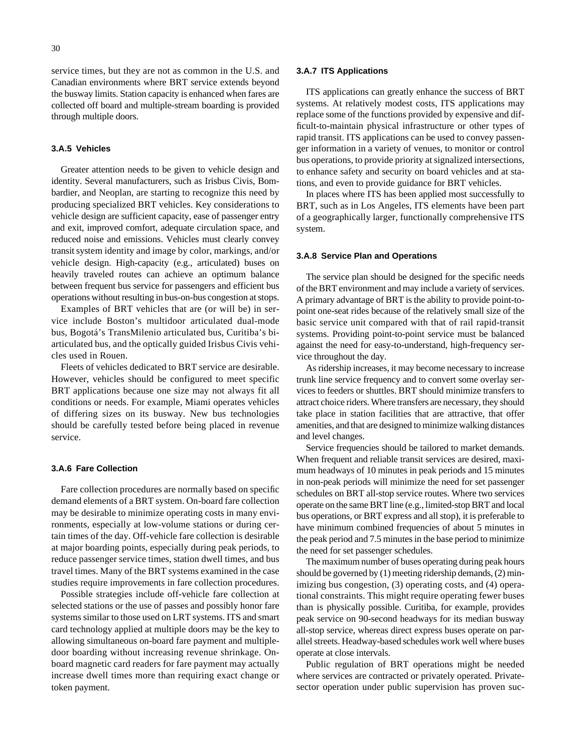service times, but they are not as common in the U.S. and Canadian environments where BRT service extends beyond the busway limits. Station capacity is enhanced when fares are collected off board and multiple-stream boarding is provided through multiple doors.

# **3.A.5 Vehicles**

Greater attention needs to be given to vehicle design and identity. Several manufacturers, such as Irisbus Civis, Bombardier, and Neoplan, are starting to recognize this need by producing specialized BRT vehicles. Key considerations to vehicle design are sufficient capacity, ease of passenger entry and exit, improved comfort, adequate circulation space, and reduced noise and emissions. Vehicles must clearly convey transit system identity and image by color, markings, and/or vehicle design. High-capacity (e.g., articulated) buses on heavily traveled routes can achieve an optimum balance between frequent bus service for passengers and efficient bus operations without resulting in bus-on-bus congestion at stops.

Examples of BRT vehicles that are (or will be) in service include Boston's multidoor articulated dual-mode bus, Bogotá's TransMilenio articulated bus, Curitiba's biarticulated bus, and the optically guided Irisbus Civis vehicles used in Rouen.

Fleets of vehicles dedicated to BRT service are desirable. However, vehicles should be configured to meet specific BRT applications because one size may not always fit all conditions or needs. For example, Miami operates vehicles of differing sizes on its busway. New bus technologies should be carefully tested before being placed in revenue service.

# **3.A.6 Fare Collection**

Fare collection procedures are normally based on specific demand elements of a BRT system. On-board fare collection may be desirable to minimize operating costs in many environments, especially at low-volume stations or during certain times of the day. Off-vehicle fare collection is desirable at major boarding points, especially during peak periods, to reduce passenger service times, station dwell times, and bus travel times. Many of the BRT systems examined in the case studies require improvements in fare collection procedures.

Possible strategies include off-vehicle fare collection at selected stations or the use of passes and possibly honor fare systems similar to those used on LRT systems. ITS and smart card technology applied at multiple doors may be the key to allowing simultaneous on-board fare payment and multipledoor boarding without increasing revenue shrinkage. Onboard magnetic card readers for fare payment may actually increase dwell times more than requiring exact change or token payment.

#### **3.A.7 ITS Applications**

ITS applications can greatly enhance the success of BRT systems. At relatively modest costs, ITS applications may replace some of the functions provided by expensive and difficult-to-maintain physical infrastructure or other types of rapid transit. ITS applications can be used to convey passenger information in a variety of venues, to monitor or control bus operations, to provide priority at signalized intersections, to enhance safety and security on board vehicles and at stations, and even to provide guidance for BRT vehicles.

In places where ITS has been applied most successfully to BRT, such as in Los Angeles, ITS elements have been part of a geographically larger, functionally comprehensive ITS system.

# **3.A.8 Service Plan and Operations**

The service plan should be designed for the specific needs of the BRT environment and may include a variety of services. A primary advantage of BRT is the ability to provide point-topoint one-seat rides because of the relatively small size of the basic service unit compared with that of rail rapid-transit systems. Providing point-to-point service must be balanced against the need for easy-to-understand, high-frequency service throughout the day.

As ridership increases, it may become necessary to increase trunk line service frequency and to convert some overlay services to feeders or shuttles. BRT should minimize transfers to attract choice riders. Where transfers are necessary, they should take place in station facilities that are attractive, that offer amenities, and that are designed to minimize walking distances and level changes.

Service frequencies should be tailored to market demands. When frequent and reliable transit services are desired, maximum headways of 10 minutes in peak periods and 15 minutes in non-peak periods will minimize the need for set passenger schedules on BRT all-stop service routes. Where two services operate on the same BRT line (e.g., limited-stop BRT and local bus operations, or BRT express and all stop), it is preferable to have minimum combined frequencies of about 5 minutes in the peak period and 7.5 minutes in the base period to minimize the need for set passenger schedules.

The maximum number of buses operating during peak hours should be governed by (1) meeting ridership demands, (2) minimizing bus congestion, (3) operating costs, and (4) operational constraints. This might require operating fewer buses than is physically possible. Curitiba, for example, provides peak service on 90-second headways for its median busway all-stop service, whereas direct express buses operate on parallel streets. Headway-based schedules work well where buses operate at close intervals.

Public regulation of BRT operations might be needed where services are contracted or privately operated. Privatesector operation under public supervision has proven suc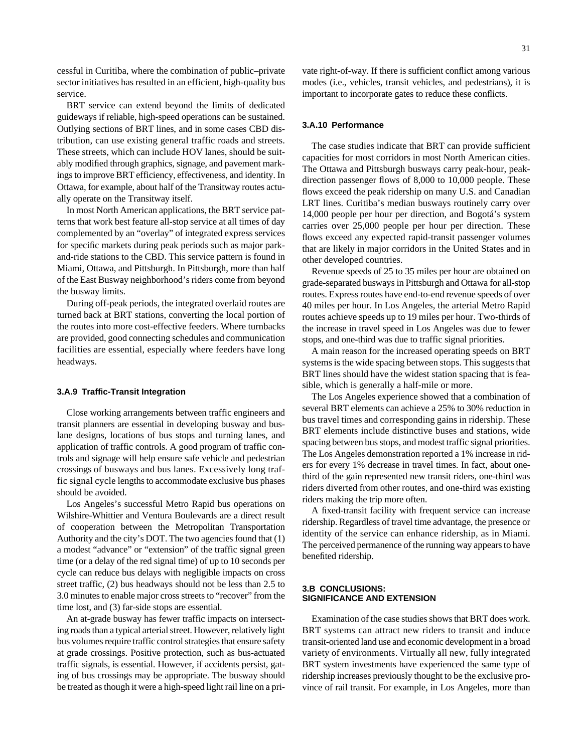cessful in Curitiba, where the combination of public–private sector initiatives has resulted in an efficient, high-quality bus service.

BRT service can extend beyond the limits of dedicated guideways if reliable, high-speed operations can be sustained. Outlying sections of BRT lines, and in some cases CBD distribution, can use existing general traffic roads and streets. These streets, which can include HOV lanes, should be suitably modified through graphics, signage, and pavement markings to improve BRT efficiency, effectiveness, and identity. In Ottawa, for example, about half of the Transitway routes actually operate on the Transitway itself.

In most North American applications, the BRT service patterns that work best feature all-stop service at all times of day complemented by an "overlay" of integrated express services for specific markets during peak periods such as major parkand-ride stations to the CBD. This service pattern is found in Miami, Ottawa, and Pittsburgh. In Pittsburgh, more than half of the East Busway neighborhood's riders come from beyond the busway limits.

During off-peak periods, the integrated overlaid routes are turned back at BRT stations, converting the local portion of the routes into more cost-effective feeders. Where turnbacks are provided, good connecting schedules and communication facilities are essential, especially where feeders have long headways.

## **3.A.9 Traffic-Transit Integration**

Close working arrangements between traffic engineers and transit planners are essential in developing busway and buslane designs, locations of bus stops and turning lanes, and application of traffic controls. A good program of traffic controls and signage will help ensure safe vehicle and pedestrian crossings of busways and bus lanes. Excessively long traffic signal cycle lengths to accommodate exclusive bus phases should be avoided.

Los Angeles's successful Metro Rapid bus operations on Wilshire-Whittier and Ventura Boulevards are a direct result of cooperation between the Metropolitan Transportation Authority and the city's DOT. The two agencies found that (1) a modest "advance" or "extension" of the traffic signal green time (or a delay of the red signal time) of up to 10 seconds per cycle can reduce bus delays with negligible impacts on cross street traffic, (2) bus headways should not be less than 2.5 to 3.0 minutes to enable major cross streets to "recover" from the time lost, and (3) far-side stops are essential.

An at-grade busway has fewer traffic impacts on intersecting roads than a typical arterial street. However, relatively light bus volumes require traffic control strategies that ensure safety at grade crossings. Positive protection, such as bus-actuated traffic signals, is essential. However, if accidents persist, gating of bus crossings may be appropriate. The busway should be treated as though it were a high-speed light rail line on a private right-of-way. If there is sufficient conflict among various modes (i.e., vehicles, transit vehicles, and pedestrians), it is important to incorporate gates to reduce these conflicts.

# **3.A.10 Performance**

The case studies indicate that BRT can provide sufficient capacities for most corridors in most North American cities. The Ottawa and Pittsburgh busways carry peak-hour, peakdirection passenger flows of 8,000 to 10,000 people. These flows exceed the peak ridership on many U.S. and Canadian LRT lines. Curitiba's median busways routinely carry over 14,000 people per hour per direction, and Bogotá's system carries over 25,000 people per hour per direction. These flows exceed any expected rapid-transit passenger volumes that are likely in major corridors in the United States and in other developed countries.

Revenue speeds of 25 to 35 miles per hour are obtained on grade-separated busways in Pittsburgh and Ottawa for all-stop routes. Express routes have end-to-end revenue speeds of over 40 miles per hour. In Los Angeles, the arterial Metro Rapid routes achieve speeds up to 19 miles per hour. Two-thirds of the increase in travel speed in Los Angeles was due to fewer stops, and one-third was due to traffic signal priorities.

A main reason for the increased operating speeds on BRT systems is the wide spacing between stops. This suggests that BRT lines should have the widest station spacing that is feasible, which is generally a half-mile or more.

The Los Angeles experience showed that a combination of several BRT elements can achieve a 25% to 30% reduction in bus travel times and corresponding gains in ridership. These BRT elements include distinctive buses and stations, wide spacing between bus stops, and modest traffic signal priorities. The Los Angeles demonstration reported a 1% increase in riders for every 1% decrease in travel times. In fact, about onethird of the gain represented new transit riders, one-third was riders diverted from other routes, and one-third was existing riders making the trip more often.

A fixed-transit facility with frequent service can increase ridership. Regardless of travel time advantage, the presence or identity of the service can enhance ridership, as in Miami. The perceived permanence of the running way appears to have benefited ridership.

#### **3.B CONCLUSIONS: SIGNIFICANCE AND EXTENSION**

Examination of the case studies shows that BRT does work. BRT systems can attract new riders to transit and induce transit-oriented land use and economic development in a broad variety of environments. Virtually all new, fully integrated BRT system investments have experienced the same type of ridership increases previously thought to be the exclusive province of rail transit. For example, in Los Angeles, more than